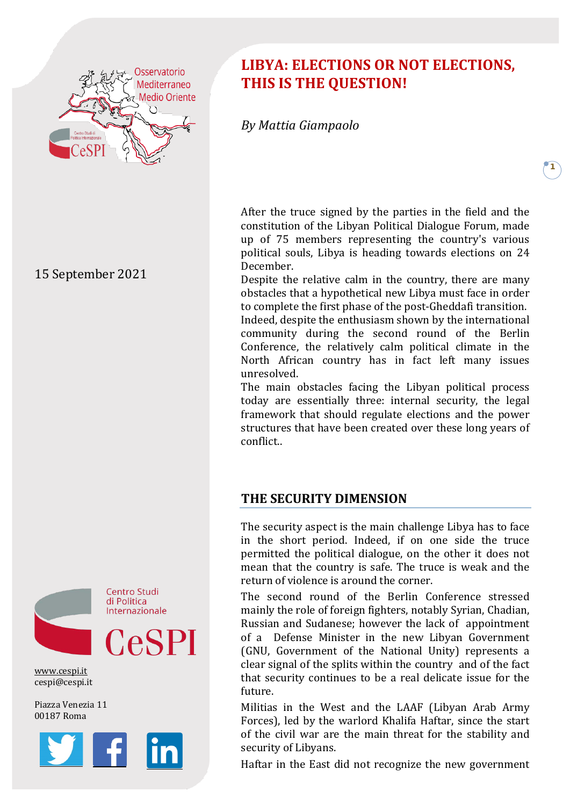

15 September 2021



[www.cespi.it](http://www.cespi.it/) cespi@cespi.it

Piazza Venezia 11 00187 Roma



# **LIBYA: ELECTIONS OR NOT ELECTIONS, THIS IS THE QUESTION!**

*By Mattia Giampaolo*

After the truce signed by the parties in the field and the constitution of the Libyan Political Dialogue Forum, made up of 75 members representing the country's various political souls, Libya is heading towards elections on 24 December.

**1**

Despite the relative calm in the country, there are many obstacles that a hypothetical new Libya must face in order to complete the first phase of the post-Gheddafi transition.

Indeed, despite the enthusiasm shown by the international community during the second round of the Berlin Conference, the relatively calm political climate in the North African country has in fact left many issues unresolved.

The main obstacles facing the Libyan political process today are essentially three: internal security, the legal framework that should regulate elections and the power structures that have been created over these long years of conflict..

# **THE SECURITY DIMENSION**

The security aspect is the main challenge Libya has to face in the short period. Indeed, if on one side the truce permitted the political dialogue, on the other it does not mean that the country is safe. The truce is weak and the return of violence is around the corner.

The second round of the Berlin Conference stressed mainly the role of foreign fighters, notably Syrian, Chadian, Russian and Sudanese; however the lack of appointment of a Defense Minister in the new Libyan Government (GNU, Government of the National Unity) represents a clear signal of the splits within the country and of the fact that security continues to be a real delicate issue for the future.

Militias in the West and the LAAF (Libyan Arab Army Forces), led by the warlord Khalifa Haftar, since the start of the civil war are the main threat for the stability and security of Libyans.

Haftar in the East did not recognize the new government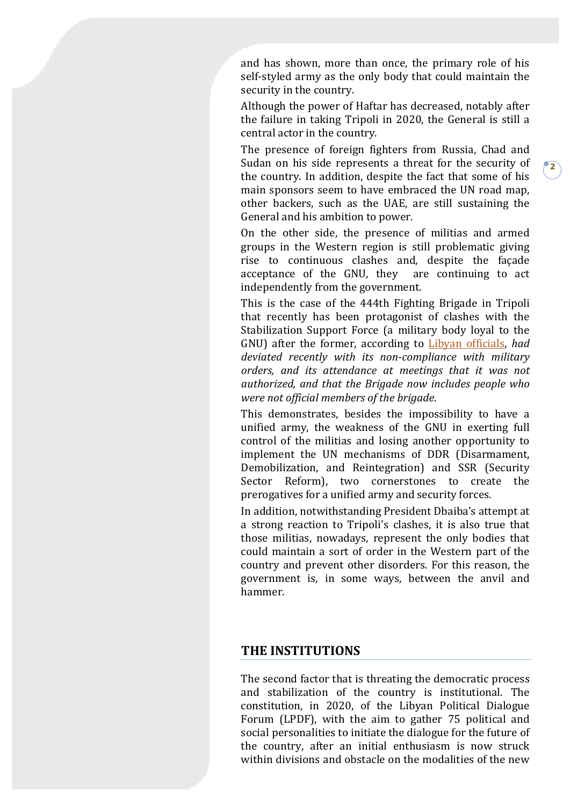and has shown, more than once, the primary role of his self-styled army as the only body that could maintain the security in the country.

Although the power of Haftar has decreased, notably after the failure in taking Tripoli in 2020, the General is still a central actor in the country.

The presence of foreign fighters from Russia, Chad and Sudan on his side represents a threat for the security of the country. In addition, despite the fact that some of his main sponsors seem to have embraced the UN road map, other backers, such as the UAE, are still sustaining the General and his ambition to power.

**2**

On the other side, the presence of militias and armed groups in the Western region is still problematic giving rise to continuous clashes and, despite the façade acceptance of the GNU, they are continuing to act independently from the government.

This is the case of the 444th Fighting Brigade in Tripoli that recently has been protagonist of clashes with the Stabilization Support Force (a military body loyal to the GNU) after the former, according to [Libyan officials,](https://www.libyaherald.com/2021/09/04/militia-clashes-evidence-their-corruption-and-unaccountability-to-state-institutions/)) *had deviated recently with its non-compliance with military orders, and its attendance at meetings that it was not authorized, and that the Brigade now includes people who were not official members of the brigade*.

This demonstrates, besides the impossibility to have a unified army, the weakness of the GNU in exerting full control of the militias and losing another opportunity to implement the UN mechanisms of DDR (Disarmament, Demobilization, and Reintegration) and SSR (Security Sector Reform), two cornerstones to create the prerogatives for a unified army and security forces.

In addition, notwithstanding President Dbaiba's attempt at a strong reaction to Tripoli's clashes, it is also true that those militias, nowadays, represent the only bodies that could maintain a sort of order in the Western part of the country and prevent other disorders. For this reason, the government is, in some ways, between the anvil and hammer.

#### **THE INSTITUTIONS**

The second factor that is threating the democratic process and stabilization of the country is institutional. The constitution, in 2020, of the Libyan Political Dialogue Forum (LPDF), with the aim to gather 75 political and social personalities to initiate the dialogue for the future of the country, after an initial enthusiasm is now struck within divisions and obstacle on the modalities of the new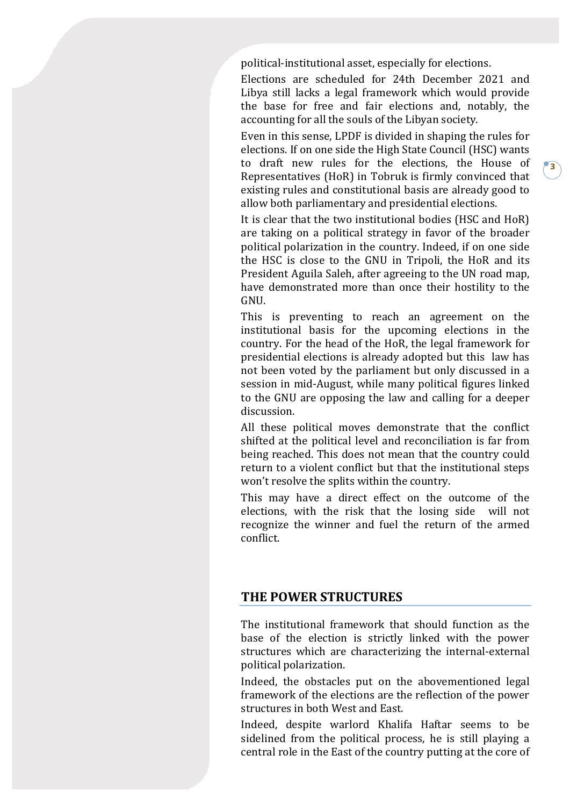political-institutional asset, especially for elections.

Elections are scheduled for 24th December 2021 and Libya still lacks a legal framework which would provide the base for free and fair elections and, notably, the accounting for all the souls of the Libyan society.

Even in this sense, LPDF is divided in shaping the rules for elections. If on one side the High State Council (HSC) wants to draft new rules for the elections, the House of Representatives (HoR) in Tobruk is firmly convinced that existing rules and constitutional basis are already good to allow both parliamentary and presidential elections.

It is clear that the two institutional bodies (HSC and HoR) are taking on a political strategy in favor of the broader political polarization in the country. Indeed, if on one side the HSC is close to the GNU in Tripoli, the HoR and its President Aguila Saleh, after agreeing to the UN road map, have demonstrated more than once their hostility to the GNU.

This is preventing to reach an agreement on the institutional basis for the upcoming elections in the country. For the head of the HoR, the legal framework for presidential elections is already adopted but this law has not been voted by the parliament but only discussed in a session in mid-August, while many political figures linked to the GNU are opposing the law and calling for a deeper discussion.

All these political moves demonstrate that the conflict shifted at the political level and reconciliation is far from being reached. This does not mean that the country could return to a violent conflict but that the institutional steps won't resolve the splits within the country.

This may have a direct effect on the outcome of the elections, with the risk that the losing side will not recognize the winner and fuel the return of the armed conflict.

## **THE POWER STRUCTURES**

The institutional framework that should function as the base of the election is strictly linked with the power structures which are characterizing the internal-external political polarization.

Indeed, the obstacles put on the abovementioned legal framework of the elections are the reflection of the power structures in both West and East.

Indeed, despite warlord Khalifa Haftar seems to be sidelined from the political process, he is still playing a central role in the East of the country putting at the core of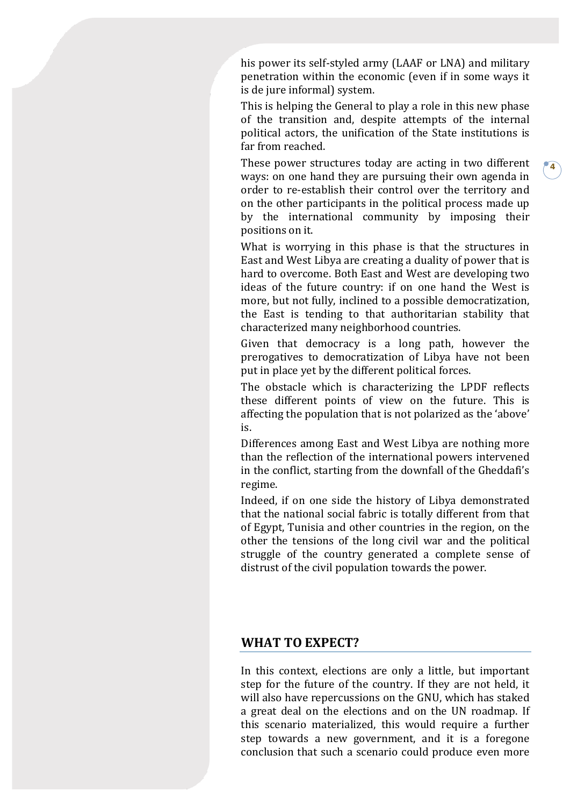his power its self-styled army (LAAF or LNA) and military penetration within the economic (even if in some ways it is de jure informal) system.

This is helping the General to play a role in this new phase of the transition and, despite attempts of the internal political actors, the unification of the State institutions is far from reached.

These power structures today are acting in two different ways: on one hand they are pursuing their own agenda in order to re-establish their control over the territory and on the other participants in the political process made up by the international community by imposing their positions on it.

**4**

What is worrying in this phase is that the structures in East and West Libya are creating a duality of power that is hard to overcome. Both East and West are developing two ideas of the future country: if on one hand the West is more, but not fully, inclined to a possible democratization, the East is tending to that authoritarian stability that characterized many neighborhood countries.

Given that democracy is a long path, however the prerogatives to democratization of Libya have not been put in place yet by the different political forces.

The obstacle which is characterizing the LPDF reflects these different points of view on the future. This is affecting the population that is not polarized as the 'above' is.

Differences among East and West Libya are nothing more than the reflection of the international powers intervened in the conflict, starting from the downfall of the Gheddafi's regime.

Indeed, if on one side the history of Libya demonstrated that the national social fabric is totally different from that of Egypt, Tunisia and other countries in the region, on the other the tensions of the long civil war and the political struggle of the country generated a complete sense of distrust of the civil population towards the power.

## **WHAT TO EXPECT?**

In this context, elections are only a little, but important step for the future of the country. If they are not held, it will also have repercussions on the GNU, which has staked a great deal on the elections and on the UN roadmap. If this scenario materialized, this would require a further step towards a new government, and it is a foregone conclusion that such a scenario could produce even more